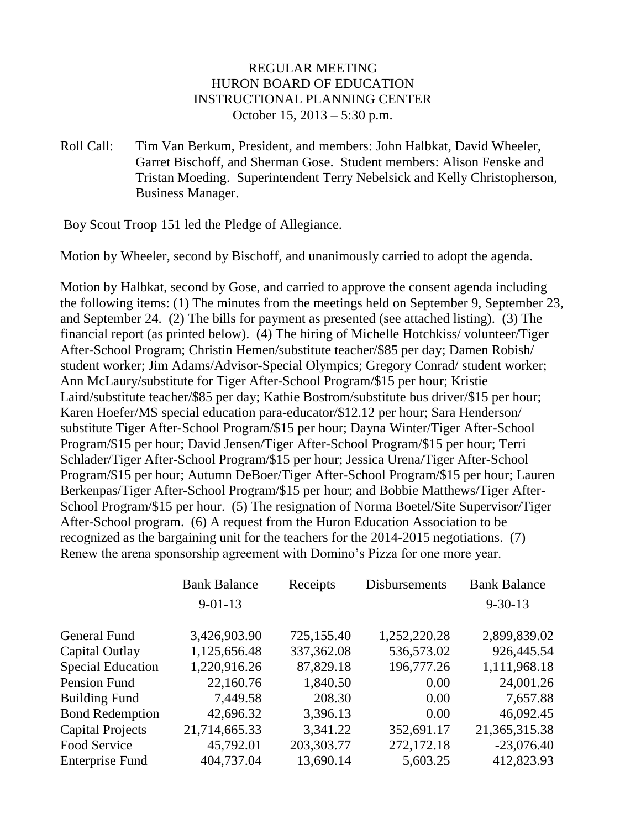## REGULAR MEETING HURON BOARD OF EDUCATION INSTRUCTIONAL PLANNING CENTER October 15, 2013 – 5:30 p.m.

Roll Call: Tim Van Berkum, President, and members: John Halbkat, David Wheeler, Garret Bischoff, and Sherman Gose. Student members: Alison Fenske and Tristan Moeding. Superintendent Terry Nebelsick and Kelly Christopherson, Business Manager.

Boy Scout Troop 151 led the Pledge of Allegiance.

Motion by Wheeler, second by Bischoff, and unanimously carried to adopt the agenda.

Motion by Halbkat, second by Gose, and carried to approve the consent agenda including the following items: (1) The minutes from the meetings held on September 9, September 23, and September 24. (2) The bills for payment as presented (see attached listing). (3) The financial report (as printed below). (4) The hiring of Michelle Hotchkiss/ volunteer/Tiger After-School Program; Christin Hemen/substitute teacher/\$85 per day; Damen Robish/ student worker; Jim Adams/Advisor-Special Olympics; Gregory Conrad/ student worker; Ann McLaury/substitute for Tiger After-School Program/\$15 per hour; Kristie Laird/substitute teacher/\$85 per day; Kathie Bostrom/substitute bus driver/\$15 per hour; Karen Hoefer/MS special education para-educator/\$12.12 per hour; Sara Henderson/ substitute Tiger After-School Program/\$15 per hour; Dayna Winter/Tiger After-School Program/\$15 per hour; David Jensen/Tiger After-School Program/\$15 per hour; Terri Schlader/Tiger After-School Program/\$15 per hour; Jessica Urena/Tiger After-School Program/\$15 per hour; Autumn DeBoer/Tiger After-School Program/\$15 per hour; Lauren Berkenpas/Tiger After-School Program/\$15 per hour; and Bobbie Matthews/Tiger After-School Program/\$15 per hour. (5) The resignation of Norma Boetel/Site Supervisor/Tiger After-School program. (6) A request from the Huron Education Association to be recognized as the bargaining unit for the teachers for the 2014-2015 negotiations. (7) Renew the arena sponsorship agreement with Domino's Pizza for one more year.

|                          | <b>Bank Balance</b> | Receipts    | Disbursements | <b>Bank Balance</b> |
|--------------------------|---------------------|-------------|---------------|---------------------|
|                          | $9 - 01 - 13$       |             |               | $9 - 30 - 13$       |
| General Fund             | 3,426,903.90        | 725,155.40  | 1,252,220.28  | 2,899,839.02        |
| Capital Outlay           | 1,125,656.48        | 337, 362.08 | 536,573.02    | 926,445.54          |
| <b>Special Education</b> | 1,220,916.26        | 87,829.18   | 196,777.26    | 1,111,968.18        |
| Pension Fund             | 22,160.76           | 1,840.50    | 0.00          | 24,001.26           |
| <b>Building Fund</b>     | 7,449.58            | 208.30      | 0.00          | 7,657.88            |
| <b>Bond Redemption</b>   | 42,696.32           | 3,396.13    | 0.00          | 46,092.45           |
| <b>Capital Projects</b>  | 21,714,665.33       | 3,341.22    | 352,691.17    | 21, 365, 315. 38    |
| Food Service             | 45,792.01           | 203,303.77  | 272,172.18    | $-23,076.40$        |
| <b>Enterprise Fund</b>   | 404,737.04          | 13,690.14   | 5,603.25      | 412,823.93          |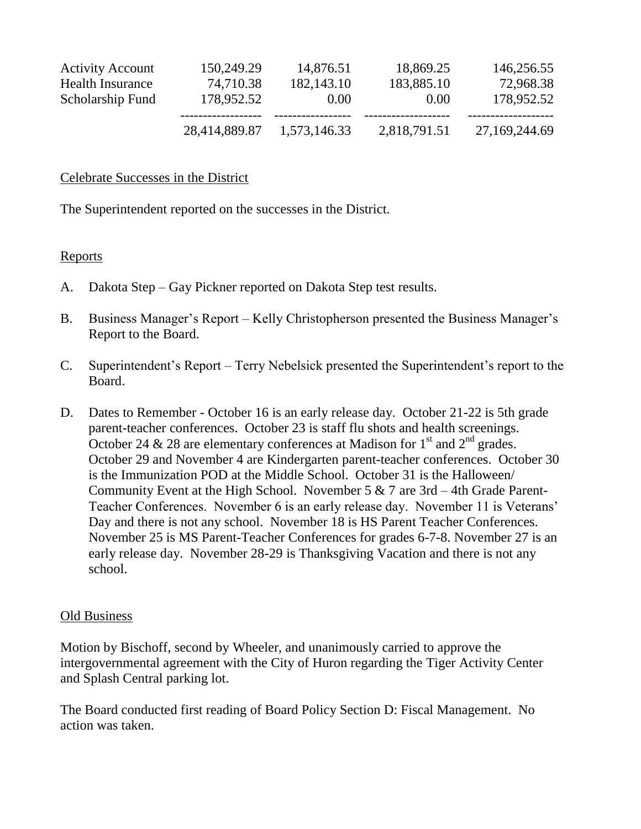|                         | 28,414,889.87 | 1,573,146.33 | 2,818,791.51 | 27,169,244.69 |
|-------------------------|---------------|--------------|--------------|---------------|
| Scholarship Fund        | 178,952.52    | 0.00         | 0.00         | 178,952.52    |
| Health Insurance        | 74,710.38     | 182, 143. 10 | 183,885.10   | 72,968.38     |
| <b>Activity Account</b> | 150,249.29    | 14,876.51    | 18,869.25    | 146,256.55    |
|                         |               |              |              |               |

#### Celebrate Successes in the District

The Superintendent reported on the successes in the District.

### Reports

- A. Dakota Step Gay Pickner reported on Dakota Step test results.
- B. Business Manager's Report Kelly Christopherson presented the Business Manager's Report to the Board.
- C. Superintendent's Report Terry Nebelsick presented the Superintendent's report to the Board.
- D. Dates to Remember October 16 is an early release day. October 21-22 is 5th grade parent-teacher conferences. October 23 is staff flu shots and health screenings. October 24 & 28 are elementary conferences at Madison for  $1<sup>st</sup>$  and  $2<sup>nd</sup>$  grades. October 29 and November 4 are Kindergarten parent-teacher conferences. October 30 is the Immunization POD at the Middle School. October 31 is the Halloween/ Community Event at the High School. November 5 & 7 are 3rd – 4th Grade Parent-Teacher Conferences. November 6 is an early release day. November 11 is Veterans' Day and there is not any school. November 18 is HS Parent Teacher Conferences. November 25 is MS Parent-Teacher Conferences for grades 6-7-8. November 27 is an early release day. November 28-29 is Thanksgiving Vacation and there is not any school.

### Old Business

Motion by Bischoff, second by Wheeler, and unanimously carried to approve the intergovernmental agreement with the City of Huron regarding the Tiger Activity Center and Splash Central parking lot.

The Board conducted first reading of Board Policy Section D: Fiscal Management. No action was taken.